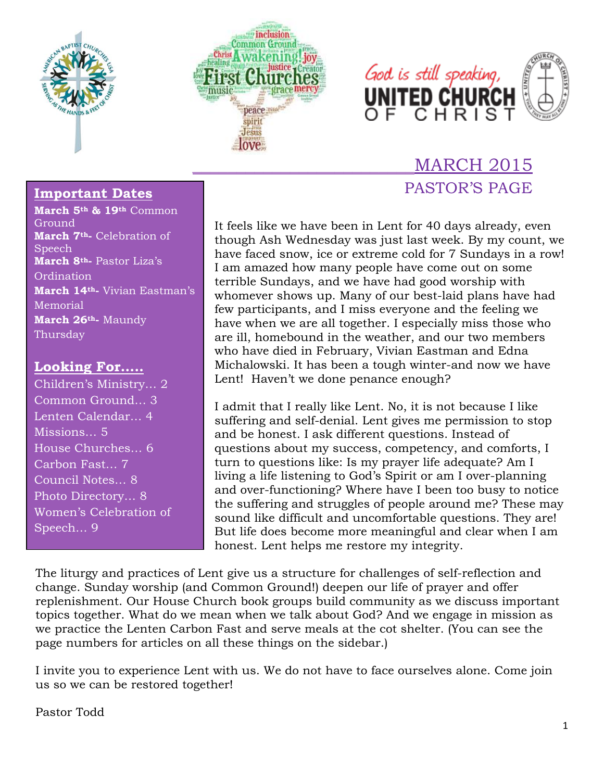





## \_\_\_\_\_\_\_\_\_\_\_\_\_\_\_\_\_\_\_\_\_\_\_\_\_MARCH 2015 PASTOR'S PAGE

## **Important Dates**

**March 5th & 19th** Common Ground **March 7th-** Celebration of Speech **March 8th-** Pastor Liza's **Ordination March 14th-** Vivian Eastman's Memorial **March 26th-** Maundy Thursday

## **Looking For…..**

Children's Ministry… 2 Common Ground… 3 Lenten Calendar… 4 Missions... 5 House Churches… 6 Carbon Fast… 7 Council Notes… 8 Photo Directory… 8 Women's Celebration of Speech… 9

It feels like we have been in Lent for 40 days already, even though Ash Wednesday was just last week. By my count, we have faced snow, ice or extreme cold for 7 Sundays in a row! I am amazed how many people have come out on some terrible Sundays, and we have had good worship with whomever shows up. Many of our best-laid plans have had few participants, and I miss everyone and the feeling we have when we are all together. I especially miss those who are ill, homebound in the weather, and our two members who have died in February, Vivian Eastman and Edna Michalowski. It has been a tough winter-and now we have Lent! Haven't we done penance enough?

I admit that I really like Lent. No, it is not because I like suffering and self-denial. Lent gives me permission to stop and be honest. I ask different questions. Instead of questions about my success, competency, and comforts, I turn to questions like: Is my prayer life adequate? Am I living a life listening to God's Spirit or am I over-planning and over-functioning? Where have I been too busy to notice the suffering and struggles of people around me? These may sound like difficult and uncomfortable questions. They are! But life does become more meaningful and clear when I am honest. Lent helps me restore my integrity.

The liturgy and practices of Lent give us a structure for challenges of self-reflection and change. Sunday worship (and Common Ground!) deepen our life of prayer and offer replenishment. Our House Church book groups build community as we discuss important topics together. What do we mean when we talk about God? And we engage in mission as we practice the Lenten Carbon Fast and serve meals at the cot shelter. (You can see the page numbers for articles on all these things on the sidebar.)

I invite you to experience Lent with us. We do not have to face ourselves alone. Come join us so we can be restored together!

Pastor Todd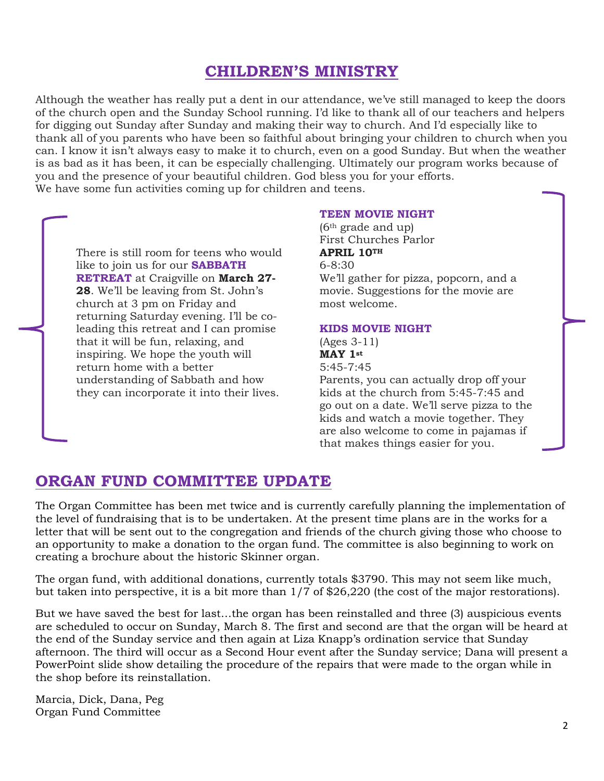## **CHILDREN'S MINISTRY**

Although the weather has really put a dent in our attendance, we've still managed to keep the doors of the church open and the Sunday School running. I'd like to thank all of our teachers and helpers for digging out Sunday after Sunday and making their way to church. And I'd especially like to thank all of you parents who have been so faithful about bringing your children to church when you can. I know it isn't always easy to make it to church, even on a good Sunday. But when the weather is as bad as it has been, it can be especially challenging. Ultimately our program works because of you and the presence of your beautiful children. God bless you for your efforts. We have some fun activities coming up for children and teens.

There is still room for teens who would like to join us for our **SABBATH RETREAT** at Craigville on **March 27- 28**. We'll be leaving from St. John's church at 3 pm on Friday and returning Saturday evening. I'll be coleading this retreat and I can promise that it will be fun, relaxing, and inspiring. We hope the youth will return home with a better understanding of Sabbath and how they can incorporate it into their lives.

#### **TEEN MOVIE NIGHT**

(6th grade and up) First Churches Parlor **APRIL 10TH** 6-8:30 We'll gather for pizza, popcorn, and a movie. Suggestions for the movie are most welcome.

#### **KIDS MOVIE NIGHT**

#### (Ages 3-11) **MAY 1st** 5:45-7:45

Parents, you can actually drop off your kids at the church from 5:45-7:45 and go out on a date. We'll serve pizza to the kids and watch a movie together. They are also welcome to come in pajamas if that makes things easier for you.

## **ORGAN FUND COMMITTEE UPDATE**

The Organ Committee has been met twice and is currently carefully planning the implementation of the level of fundraising that is to be undertaken. At the present time plans are in the works for a letter that will be sent out to the congregation and friends of the church giving those who choose to an opportunity to make a donation to the organ fund. The committee is also beginning to work on creating a brochure about the historic Skinner organ.

The organ fund, with additional donations, currently totals \$3790. This may not seem like much, but taken into perspective, it is a bit more than 1/7 of \$26,220 (the cost of the major restorations).

But we have saved the best for last…the organ has been reinstalled and three (3) auspicious events are scheduled to occur on Sunday, March 8. The first and second are that the organ will be heard at the end of the Sunday service and then again at Liza Knapp's ordination service that Sunday afternoon. The third will occur as a Second Hour event after the Sunday service; Dana will present a PowerPoint slide show detailing the procedure of the repairs that were made to the organ while in the shop before its reinstallation.

Marcia, Dick, Dana, Peg Organ Fund Committee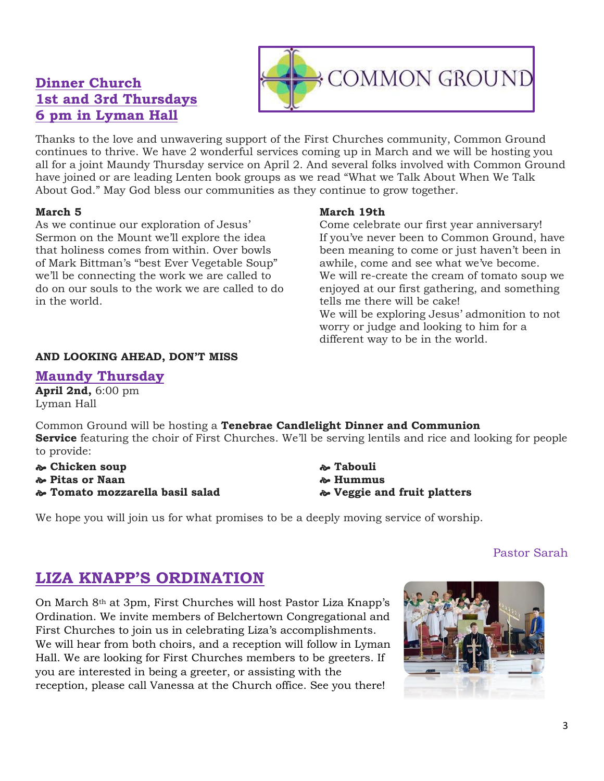## **Dinner Church 1st and 3rd Thursdays 6 pm in Lyman Hall**

Thanks to the love and unwavering support of the First Churches community, Common Ground continues to thrive. We have 2 wonderful services coming up in March and we will be hosting you all for a joint Maundy Thursday service on April 2. And several folks involved with Common Ground have joined or are leading Lenten book groups as we read "What we Talk About When We Talk About God." May God bless our communities as they continue to grow together.

### **March 5**

As we continue our exploration of Jesus' Sermon on the Mount we'll explore the idea that holiness comes from within. Over bowls of Mark Bittman's "best Ever Vegetable Soup" we'll be connecting the work we are called to do on our souls to the work we are called to do in the world.

### **AND LOOKING AHEAD, DON'T MISS**

## **Maundy Thursday**

**April 2nd,** 6:00 pm Lyman Hall

Common Ground will be hosting a **Tenebrae Candlelight Dinner and Communion Service** featuring the choir of First Churches. We'll be serving lentils and rice and looking for people to provide:

- **Chicken soup**
- **Pitas or Naan**
- **Tomato mozzarella basil salad**

## **March 19th**

Come celebrate our first year anniversary! If you've never been to Common Ground, have been meaning to come or just haven't been in awhile, come and see what we've become. We will re-create the cream of tomato soup we enjoyed at our first gathering, and something tells me there will be cake! We will be exploring Jesus' admonition to not worry or judge and looking to him for a different way to be in the world.

 **Tabouli Hummus Veggie and fruit platters**

We hope you will join us for what promises to be a deeply moving service of worship.

## Pastor Sarah

## **LIZA KNAPP'S ORDINATION**

On March 8th at 3pm, First Churches will host Pastor Liza Knapp's Ordination. We invite members of Belchertown Congregational and First Churches to join us in celebrating Liza's accomplishments. We will hear from both choirs, and a reception will follow in Lyman Hall. We are looking for First Churches members to be greeters. If you are interested in being a greeter, or assisting with the reception, please call Vanessa at the Church office. See you there!



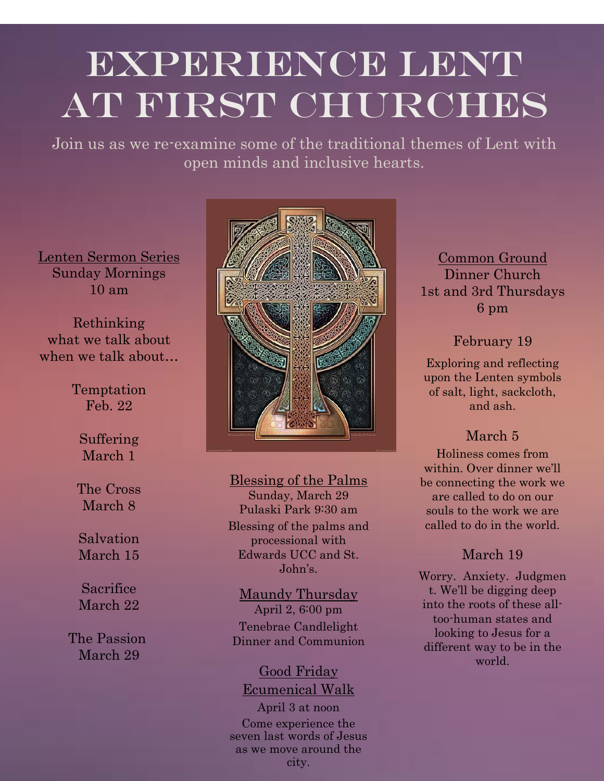## EXPERIENCE LENT AT FIRST CHURCHES

Join us as we re-examine some of the traditional themes of Lent with open minds and inclusive hearts.

Lenten Sermon Series Sunday Mornings 10 am

Rethinking what we talk about when we talk about…

> Temptation Feb. 22

Suffering March 1

The Cross March 8

Salvation March 15

Sacrifice March 22

The Passion March 29



## Blessing of the Palms

Sunday, March 29 Pulaski Park 9:30 am Blessing of the palms and processional with Edwards UCC and St. John's.

Maundy Thursday April 2, 6:00 pm Tenebrae Candlelight Dinner and Communion

## Good Friday Ecumenical Walk

April 3 at noon Come experience the seven last words of Jesus as we move around the city.

Common Ground Dinner Church 1st and 3rd Thursdays 6 pm

February 19

Exploring and reflecting upon the Lenten symbols of salt, light, sackcloth, and ash.

## March 5

Holiness comes from within. Over dinner we'll be connecting the work we are called to do on our souls to the work we are called to do in the world.

## March 19

Worry. Anxiety. Judgmen t. We'll be digging deep into the roots of these alltoo-human states and looking to Jesus for a different way to be in the world.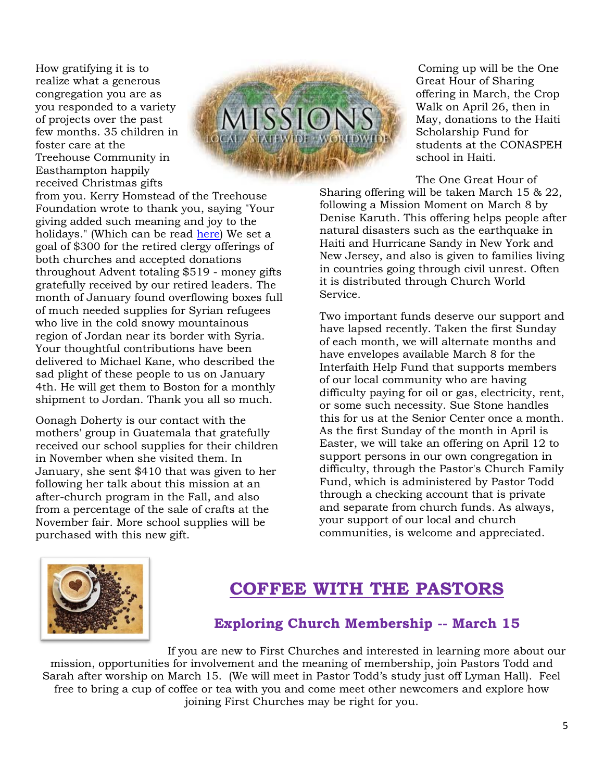How gratifying it is to realize what a generous congregation you are as you responded to a variety of projects over the past few months. 35 children in foster care at the Treehouse Community in Easthampton happily received Christmas gifts



from you. Kerry Homstead of the Treehouse Foundation wrote to thank you, saying "Your giving added such meaning and joy to the holidays." (Which can be read [here\)](http://firstchurches.org/tree-house-thanks-you/) We set a goal of \$300 for the retired clergy offerings of both churches and accepted donations throughout Advent totaling \$519 - money gifts gratefully received by our retired leaders. The month of January found overflowing boxes full of much needed supplies for Syrian refugees who live in the cold snowy mountainous region of Jordan near its border with Syria. Your thoughtful contributions have been delivered to Michael Kane, who described the sad plight of these people to us on January 4th. He will get them to Boston for a monthly shipment to Jordan. Thank you all so much.

Oonagh Doherty is our contact with the mothers' group in Guatemala that gratefully received our school supplies for their children in November when she visited them. In January, she sent \$410 that was given to her following her talk about this mission at an after-church program in the Fall, and also from a percentage of the sale of crafts at the November fair. More school supplies will be purchased with this new gift.

Coming up will be the One Great Hour of Sharing offering in March, the Crop Walk on April 26, then in May, donations to the Haiti Scholarship Fund for students at the CONASPEH school in Haiti.

The One Great Hour of Sharing offering will be taken March 15 & 22, following a Mission Moment on March 8 by Denise Karuth. This offering helps people after natural disasters such as the earthquake in Haiti and Hurricane Sandy in New York and New Jersey, and also is given to families living in countries going through civil unrest. Often it is distributed through Church World Service.

Two important funds deserve our support and have lapsed recently. Taken the first Sunday of each month, we will alternate months and have envelopes available March 8 for the Interfaith Help Fund that supports members of our local community who are having difficulty paying for oil or gas, electricity, rent, or some such necessity. Sue Stone handles this for us at the Senior Center once a month. As the first Sunday of the month in April is Easter, we will take an offering on April 12 to support persons in our own congregation in difficulty, through the Pastor's Church Family Fund, which is administered by Pastor Todd through a checking account that is private and separate from church funds. As always, your support of our local and church communities, is welcome and appreciated.



## **COFFEE WITH THE PASTORS**

## **Exploring Church Membership -- March 15**

If you are new to First Churches and interested in learning more about our mission, opportunities for involvement and the meaning of membership, join Pastors Todd and Sarah after worship on March 15. (We will meet in Pastor Todd's study just off Lyman Hall). Feel free to bring a cup of coffee or tea with you and come meet other newcomers and explore how joining First Churches may be right for you.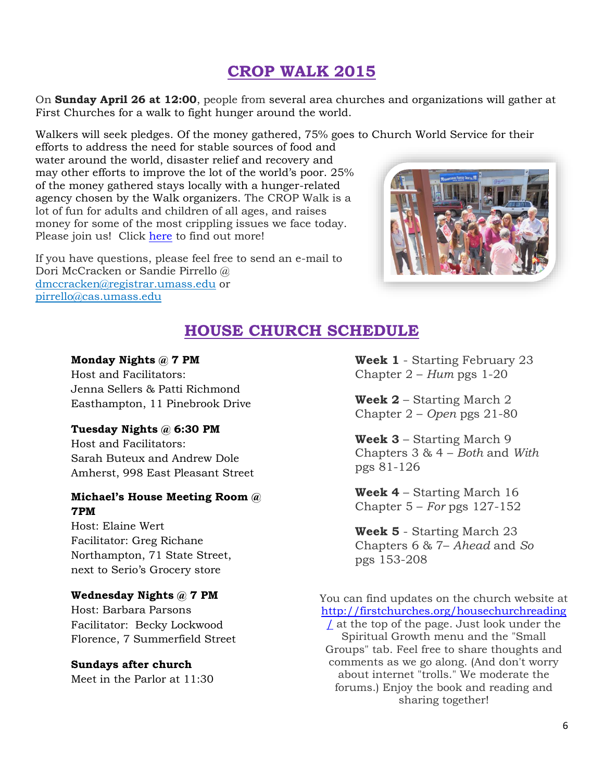## **CROP WALK 2015**

On **Sunday April 26 at 12:00**, people from several area churches and organizations will gather at First Churches for a walk to fight hunger around the world.

Walkers will seek pledges. Of the money gathered, 75% goes to Church World Service for their

efforts to address the need for stable sources of food and water around the world, disaster relief and recovery and may other efforts to improve the lot of the world's poor. 25% of the money gathered stays locally with a hunger-related agency chosen by the Walk organizers. The CROP Walk is a lot of fun for adults and children of all ages, and raises money for some of the most crippling issues we face today. Please join us! Click [here](http://hunger.cwsglobal.org/site/PageServer?pagename=crop_main) to find out more!

If you have questions, please feel free to send an e-mail to Dori McCracken or Sandie Pirrello @ [dmccracken@registrar.umass.edu](mailto:dmccracken@registrar.umass.edu) or [pirrello@cas.umass.edu](mailto:pirrello@cas.umass.edu)



## **HOUSE CHURCH SCHEDULE**

#### **Monday Nights @ 7 PM**

Host and Facilitators: Jenna Sellers & Patti Richmond Easthampton, 11 Pinebrook Drive

### **Tuesday Nights @ 6:30 PM**

Host and Facilitators: Sarah Buteux and Andrew Dole Amherst, 998 East Pleasant Street

## **Michael's House Meeting Room @ 7PM**

Host: Elaine Wert Facilitator: Greg Richane Northampton, 71 State Street, next to Serio's Grocery store

### **Wednesday Nights @ 7 PM**

Host: Barbara Parsons Facilitator: Becky Lockwood Florence, 7 Summerfield Street

## **Sundays after church**

Meet in the Parlor at 11:30

**Week 1** - Starting February 23 Chapter 2 – *Hum* pgs 1-20

**Week 2** – Starting March 2 Chapter 2 – *Open* pgs 21-80

**Week 3** – Starting March 9 Chapters 3 & 4 – *Both* and *With* pgs 81-126

**Week 4** – Starting March 16 Chapter 5 – *For* pgs 127-152

**Week 5** - Starting March 23 Chapters 6 & 7– *Ahead* and *So* pgs 153-208

You can find updates on the church website at [http://firstchurches.org/housechurchreading](http://firstchurches.org/housechurchreading/)

[/](http://firstchurches.org/housechurchreading/) at the top of the page. Just look under the Spiritual Growth menu and the "Small Groups" tab. Feel free to share thoughts and comments as we go along. (And don't worry about internet "trolls." We moderate the forums.) Enjoy the book and reading and sharing together!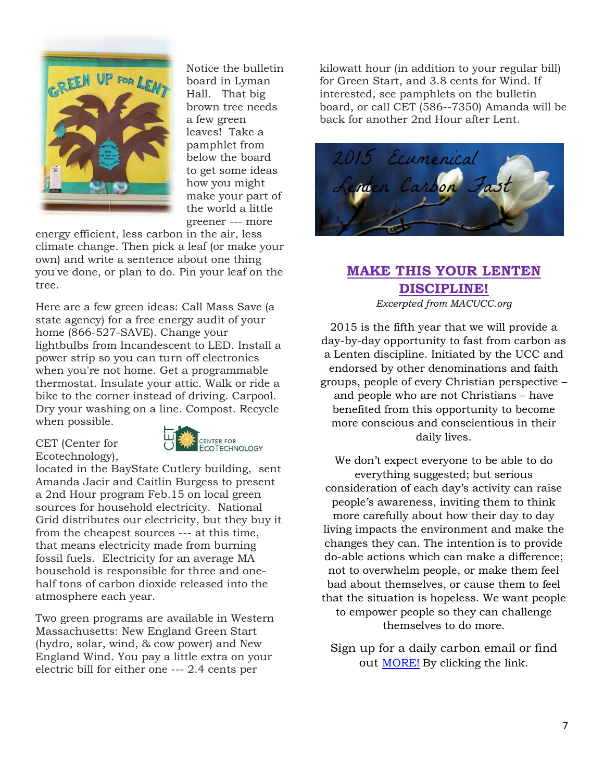

Notice the bulletin board in Lyman Hall. That big brown tree needs a few green leaves! Take a pamphlet from below the board to get some ideas how you might make your part of the world a little greener --- more

energy efficient, less carbon in the air, less climate change. Then pick a leaf (or make your own) and write a sentence about one thing you've done, or plan to do. Pin your leaf on the tree.

Here are a few green ideas: Call Mass Save (a state agency) for a free energy audit of your home (866-527-SAVE). Change your lightbulbs from Incandescent to LED. Install a power strip so you can turn off electronics when you're not home. Get a programmable thermostat. Insulate your attic. Walk or ride a bike to the corner instead of driving. Carpool. Dry your washing on a line. Compost. Recycle when possible.

CET (Center for Ecotechnology),



located in the BayState Cutlery building, sent Amanda Jacir and Caitlin Burgess to present a 2nd Hour program Feb.15 on local green sources for household electricity. National Grid distributes our electricity, but they buy it from the cheapest sources --- at this time, that means electricity made from burning fossil fuels. Electricity for an average MA household is responsible for three and onehalf tons of carbon dioxide released into the atmosphere each year.

Two green programs are available in Western Massachusetts: New England Green Start (hydro, solar, wind, & cow power) and New England Wind. You pay a little extra on your electric bill for either one --- 2.4 cents per

kilowatt hour (in addition to your regular bill) for Green Start, and 3.8 cents for Wind. If interested, see pamphlets on the bulletin board, or call CET (586--7350) Amanda will be back for another 2nd Hour after Lent.



## **MAKE THIS YOUR LENTEN DISCIPLINE!**

*Excerpted from MACUCC.org*

2015 is the fifth year that we will provide a day-by-day opportunity to fast from carbon as a Lenten discipline. Initiated by the UCC and endorsed by other denominations and faith groups, people of every Christian perspective – and people who are not Christians – have benefited from this opportunity to become more conscious and conscientious in their daily lives.

We don't expect everyone to be able to do everything suggested; but serious consideration of each day's activity can raise people's awareness, inviting them to think more carefully about how their day to day living impacts the environment and make the changes they can. The intention is to provide do-able actions which can make a difference; not to overwhelm people, or make them feel bad about themselves, or cause them to feel that the situation is hopeless. We want people to empower people so they can challenge themselves to do more.

Sign up for a daily carbon email or find out [MORE!](http://www.macucc.org/carbonfast) By clicking the link.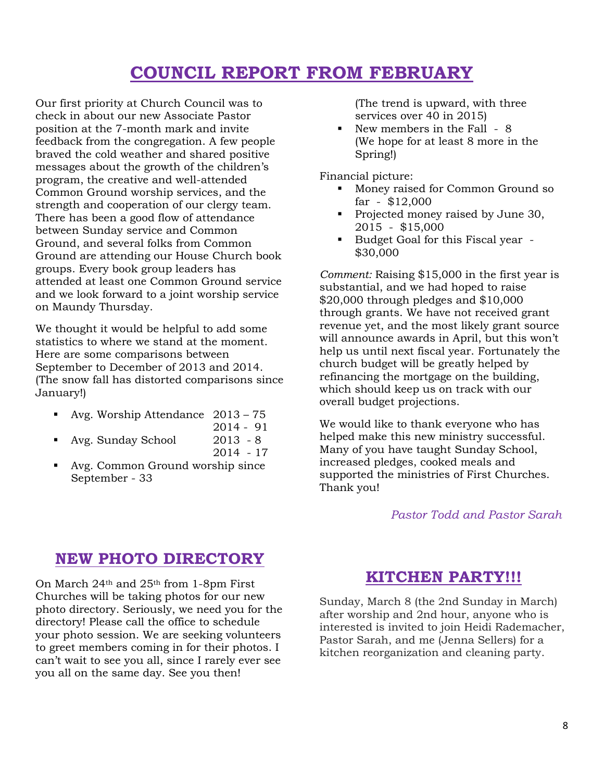## **COUNCIL REPORT FROM FEBRUARY**

Our first priority at Church Council was to check in about our new Associate Pastor position at the 7-month mark and invite feedback from the congregation. A few people braved the cold weather and shared positive messages about the growth of the children's program, the creative and well-attended Common Ground worship services, and the strength and cooperation of our clergy team. There has been a good flow of attendance between Sunday service and Common Ground, and several folks from Common Ground are attending our House Church book groups. Every book group leaders has attended at least one Common Ground service and we look forward to a joint worship service on Maundy Thursday.

We thought it would be helpful to add some statistics to where we stand at the moment. Here are some comparisons between September to December of 2013 and 2014. (The snow fall has distorted comparisons since January!)

- Avg. Worship Attendance 2013 75
	- 2014 91
	- Avg. Sunday School 2013 8 2014 - 17
- Avg. Common Ground worship since September - 33

(The trend is upward, with three services over 40 in 2015)

New members in the Fall - 8 (We hope for at least 8 more in the Spring!)

Financial picture:

- Money raised for Common Ground so far - \$12,000
- Projected money raised by June 30, 2015 - \$15,000
- Budget Goal for this Fiscal year -\$30,000

*Comment:* Raising \$15,000 in the first year is substantial, and we had hoped to raise \$20,000 through pledges and \$10,000 through grants. We have not received grant revenue yet, and the most likely grant source will announce awards in April, but this won't help us until next fiscal year. Fortunately the church budget will be greatly helped by refinancing the mortgage on the building, which should keep us on track with our overall budget projections.

We would like to thank everyone who has helped make this new ministry successful. Many of you have taught Sunday School, increased pledges, cooked meals and supported the ministries of First Churches. Thank you!

## *Pastor Todd and Pastor Sarah*

## **NEW PHOTO DIRECTORY**

On March 24th and 25th from 1-8pm First Churches will be taking photos for our new photo directory. Seriously, we need you for the directory! Please call the office to schedule your photo session. We are seeking volunteers to greet members coming in for their photos. I can't wait to see you all, since I rarely ever see you all on the same day. See you then!

## **KITCHEN PARTY!!!**

Sunday, March 8 (the 2nd Sunday in March) after worship and 2nd hour, anyone who is interested is invited to join Heidi Rademacher, Pastor Sarah, and me (Jenna Sellers) for a kitchen reorganization and cleaning party.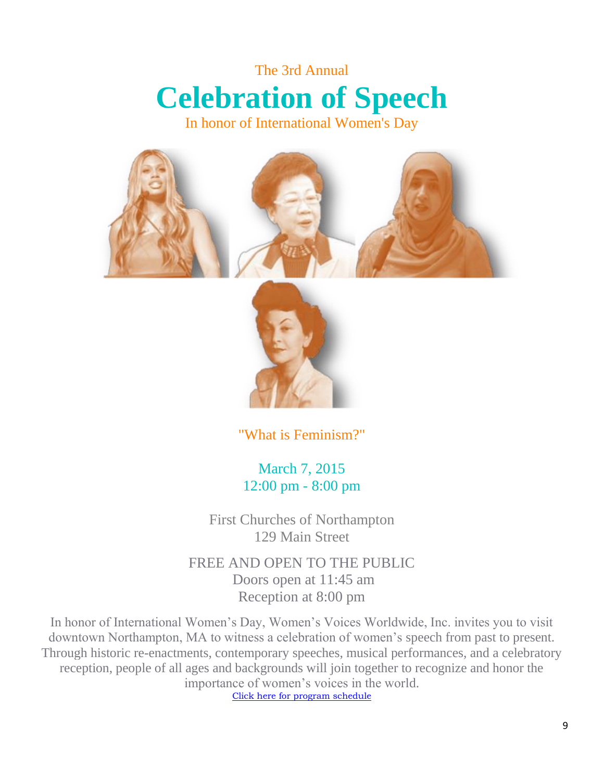## The 3rd Annual **Celebration of Speech**

In honor of International Women's Day



"What is Feminism?"

March 7, 2015 12:00 pm - 8:00 pm

First Churches of Northampton 129 Main Street

FREE AND OPEN TO THE PUBLIC Doors open at 11:45 am Reception at 8:00 pm

In honor of International Women's Day, Women's Voices Worldwide, Inc. invites you to visit downtown Northampton, MA to witness a celebration of women's speech from past to present. Through historic re-enactments, contemporary speeches, musical performances, and a celebratory reception, people of all ages and backgrounds will join together to recognize and honor the importance of women's voices in the world. [Click here for program schedule](http://www.womensvoicesworldwide.org/uploads/Celebration_of_Speech_Program_Last_Updated_2-16-15.pdf)